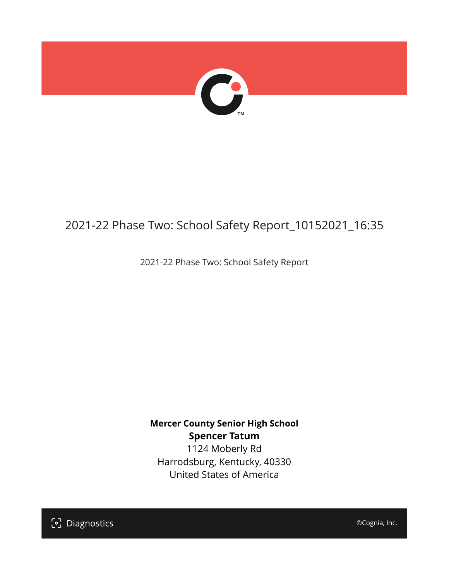

## 2021-22 Phase Two: School Safety Report\_10152021\_16:35

2021-22 Phase Two: School Safety Report

**Mercer County Senior High School Spencer Tatum** 1124 Moberly Rd Harrodsburg, Kentucky, 40330 United States of America

[၁] Diagnostics

©Cognia, Inc.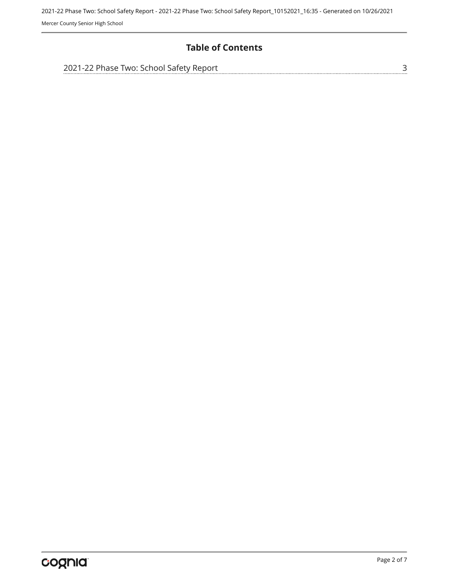## **Table of Contents**

| 2021-22 Phase Two: School Safety Report |  |
|-----------------------------------------|--|
|                                         |  |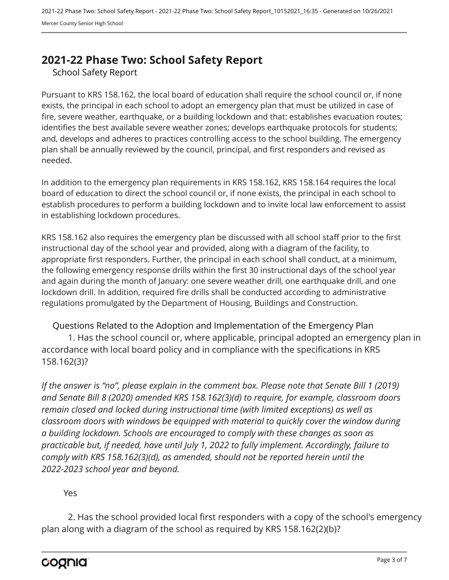## <span id="page-2-0"></span>**2021-22 Phase Two: School Safety Report**

School Safety Report

Pursuant to KRS 158.162, the local board of education shall require the school council or, if none exists, the principal in each school to adopt an emergency plan that must be utilized in case of fire, severe weather, earthquake, or a building lockdown and that: establishes evacuation routes; identifies the best available severe weather zones; develops earthquake protocols for students; and, develops and adheres to practices controlling access to the school building. The emergency plan shall be annually reviewed by the council, principal, and first responders and revised as needed.

In addition to the emergency plan requirements in KRS 158.162, KRS 158.164 requires the local board of education to direct the school council or, if none exists, the principal in each school to establish procedures to perform a building lockdown and to invite local law enforcement to assist in establishing lockdown procedures.

KRS 158.162 also requires the emergency plan be discussed with all school staff prior to the first instructional day of the school year and provided, along with a diagram of the facility, to appropriate first responders. Further, the principal in each school shall conduct, at a minimum, the following emergency response drills within the first 30 instructional days of the school year and again during the month of January: one severe weather drill, one earthquake drill, and one lockdown drill. In addition, required fire drills shall be conducted according to administrative regulations promulgated by the Department of Housing, Buildings and Construction.

Questions Related to the Adoption and Implementation of the Emergency Plan 1. Has the school council or, where applicable, principal adopted an emergency plan in accordance with local board policy and in compliance with the specifications in KRS 158.162(3)?

*If the answer is "no", please explain in the comment box. Please note that Senate Bill 1 (2019) and Senate Bill 8 (2020) amended KRS 158.162(3)(d) to require, for example, classroom doors remain closed and locked during instructional time (with limited exceptions) as well as classroom doors with windows be equipped with material to quickly cover the window during a building lockdown. Schools are encouraged to comply with these changes as soon as practicable but, if needed, have until July 1, 2022 to fully implement. Accordingly, failure to comply with KRS 158.162(3)(d), as amended, should not be reported herein until the 2022-2023 school year and beyond.*

Yes

2. Has the school provided local first responders with a copy of the school's emergency plan along with a diagram of the school as required by KRS 158.162(2)(b)?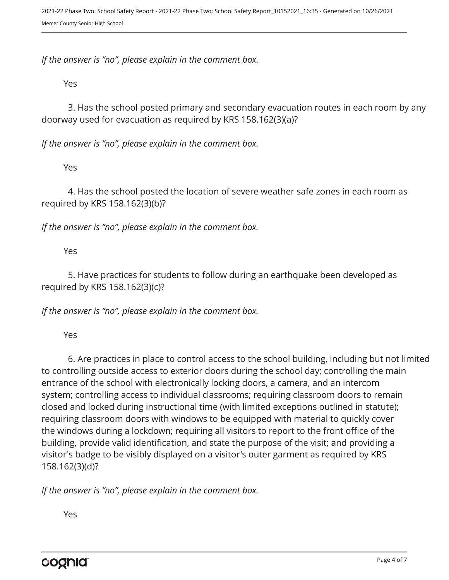*If the answer is "no", please explain in the comment box.*

Yes

3. Has the school posted primary and secondary evacuation routes in each room by any doorway used for evacuation as required by KRS 158.162(3)(a)?

*If the answer is "no", please explain in the comment box.*

Yes

4. Has the school posted the location of severe weather safe zones in each room as required by KRS 158.162(3)(b)?

*If the answer is "no", please explain in the comment box.*

Yes

5. Have practices for students to follow during an earthquake been developed as required by KRS 158.162(3)(c)?

*If the answer is "no", please explain in the comment box.*

Yes

6. Are practices in place to control access to the school building, including but not limited to controlling outside access to exterior doors during the school day; controlling the main entrance of the school with electronically locking doors, a camera, and an intercom system; controlling access to individual classrooms; requiring classroom doors to remain closed and locked during instructional time (with limited exceptions outlined in statute); requiring classroom doors with windows to be equipped with material to quickly cover the windows during a lockdown; requiring all visitors to report to the front office of the building, provide valid identification, and state the purpose of the visit; and providing a visitor's badge to be visibly displayed on a visitor's outer garment as required by KRS 158.162(3)(d)?

*If the answer is "no", please explain in the comment box.*

Yes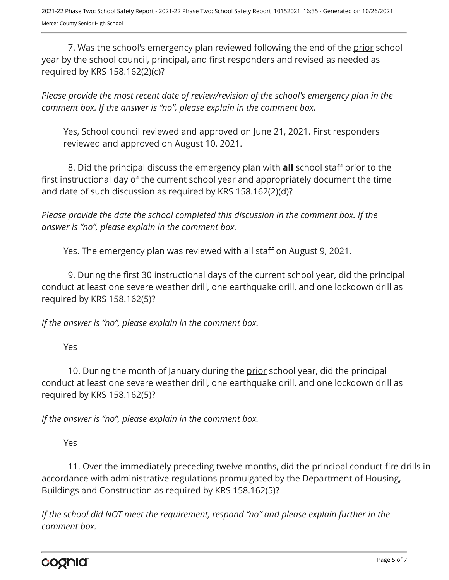7. Was the school's emergency plan reviewed following the end of the prior school year by the school council, principal, and first responders and revised as needed as required by KRS 158.162(2)(c)?

*Please provide the most recent date of review/revision of the school's emergency plan in the comment box. If the answer is "no", please explain in the comment box.* 

Yes, School council reviewed and approved on June 21, 2021. First responders reviewed and approved on August 10, 2021.

8. Did the principal discuss the emergency plan with **all** school staff prior to the first instructional day of the current school year and appropriately document the time and date of such discussion as required by KRS 158.162(2)(d)?

*Please provide the date the school completed this discussion in the comment box. If the answer is "no", please explain in the comment box.*

Yes. The emergency plan was reviewed with all staff on August 9, 2021.

9. During the first 30 instructional days of the current school year, did the principal conduct at least one severe weather drill, one earthquake drill, and one lockdown drill as required by KRS 158.162(5)?

*If the answer is "no", please explain in the comment box.*

Yes

10. During the month of January during the prior school year, did the principal conduct at least one severe weather drill, one earthquake drill, and one lockdown drill as required by KRS 158.162(5)?

*If the answer is "no", please explain in the comment box.*

Yes

11. Over the immediately preceding twelve months, did the principal conduct fire drills in accordance with administrative regulations promulgated by the Department of Housing, Buildings and Construction as required by KRS 158.162(5)?

*If the school did NOT meet the requirement, respond "no" and please explain further in the comment box.*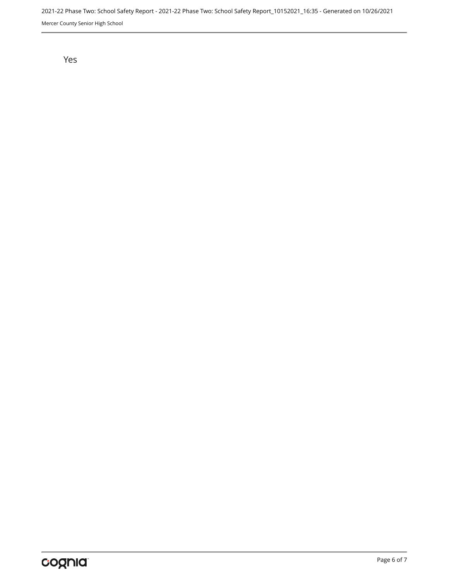2021-22 Phase Two: School Safety Report - 2021-22 Phase Two: School Safety Report\_10152021\_16:35 - Generated on 10/26/2021 Mercer County Senior High School

Yes